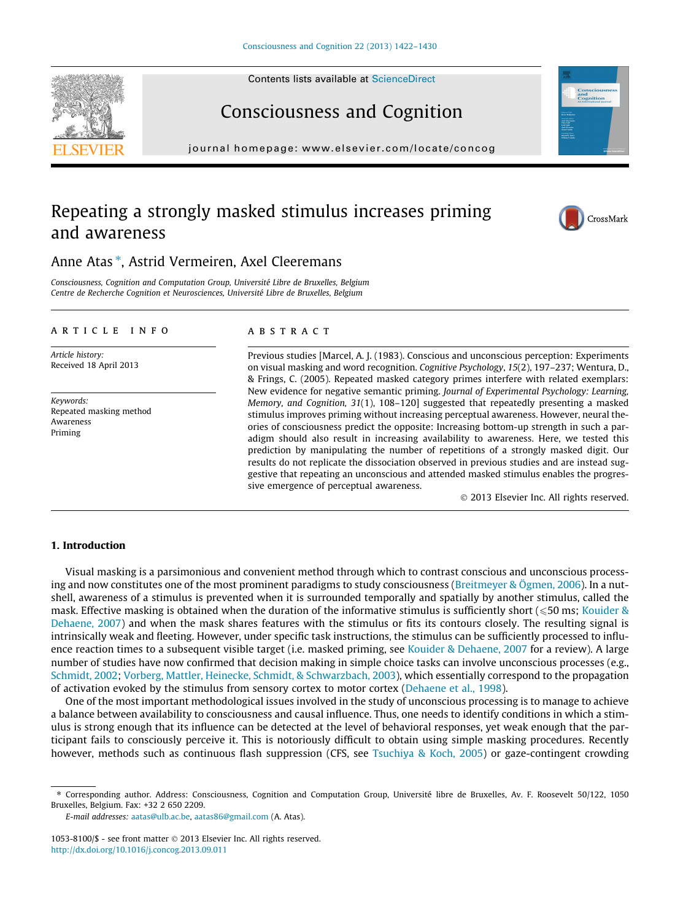Contents lists available at [ScienceDirect](http://www.sciencedirect.com/science/journal/10538100)





# Consciousness and Cognition

journal homepage: [www.elsevier.com/locate/concog](http://www.elsevier.com/locate/concog)

# Repeating a strongly masked stimulus increases priming and awareness



# Anne Atas \*, Astrid Vermeiren, Axel Cleeremans

Consciousness, Cognition and Computation Group, Université Libre de Bruxelles, Belgium Centre de Recherche Cognition et Neurosciences, Université Libre de Bruxelles, Belgium

#### article info

Article history: Received 18 April 2013

Keywords: Repeated masking method Awareness Priming

# **ABSTRACT**

Previous studies [Marcel, A. J. (1983). Conscious and unconscious perception: Experiments on visual masking and word recognition. Cognitive Psychology, 15(2), 197–237; Wentura, D., & Frings, C. (2005). Repeated masked category primes interfere with related exemplars: New evidence for negative semantic priming. Journal of Experimental Psychology: Learning, Memory, and Cognition, 31(1), 108–120] suggested that repeatedly presenting a masked stimulus improves priming without increasing perceptual awareness. However, neural theories of consciousness predict the opposite: Increasing bottom-up strength in such a paradigm should also result in increasing availability to awareness. Here, we tested this prediction by manipulating the number of repetitions of a strongly masked digit. Our results do not replicate the dissociation observed in previous studies and are instead suggestive that repeating an unconscious and attended masked stimulus enables the progressive emergence of perceptual awareness.

 $©$  2013 Elsevier Inc. All rights reserved.

# 1. Introduction

Visual masking is a parsimonious and convenient method through which to contrast conscious and unconscious processing and now constitutes one of the most prominent paradigms to study consciousness [\(Breitmeyer & Ögmen, 2006\)](#page-7-0). In a nutshell, awareness of a stimulus is prevented when it is surrounded temporally and spatially by another stimulus, called the mask. Effective masking is obtained when the duration of the informative stimulus is sufficiently short ( $\leq 50$  ms; [Kouider &](#page-8-0) [Dehaene, 2007\)](#page-8-0) and when the mask shares features with the stimulus or fits its contours closely. The resulting signal is intrinsically weak and fleeting. However, under specific task instructions, the stimulus can be sufficiently processed to influence reaction times to a subsequent visible target (i.e. masked priming, see [Kouider & Dehaene, 2007](#page-8-0) for a review). A large number of studies have now confirmed that decision making in simple choice tasks can involve unconscious processes (e.g., [Schmidt, 2002;](#page-8-0) [Vorberg, Mattler, Heinecke, Schmidt, & Schwarzbach, 2003](#page-8-0)), which essentially correspond to the propagation of activation evoked by the stimulus from sensory cortex to motor cortex [\(Dehaene et al., 1998\)](#page-8-0).

One of the most important methodological issues involved in the study of unconscious processing is to manage to achieve a balance between availability to consciousness and causal influence. Thus, one needs to identify conditions in which a stimulus is strong enough that its influence can be detected at the level of behavioral responses, yet weak enough that the participant fails to consciously perceive it. This is notoriously difficult to obtain using simple masking procedures. Recently however, methods such as continuous flash suppression (CFS, see [Tsuchiya & Koch, 2005\)](#page-8-0) or gaze-contingent crowding

E-mail addresses: [aatas@ulb.ac.be](mailto:aatas@ulb.ac.be), [aatas86@gmail.com](mailto:aatas86@gmail.com) (A. Atas).

1053-8100/\$ - see front matter @ 2013 Elsevier Inc. All rights reserved. <http://dx.doi.org/10.1016/j.concog.2013.09.011>

<sup>⇑</sup> Corresponding author. Address: Consciousness, Cognition and Computation Group, Université libre de Bruxelles, Av. F. Roosevelt 50/122, 1050 Bruxelles, Belgium. Fax: +32 2 650 2209.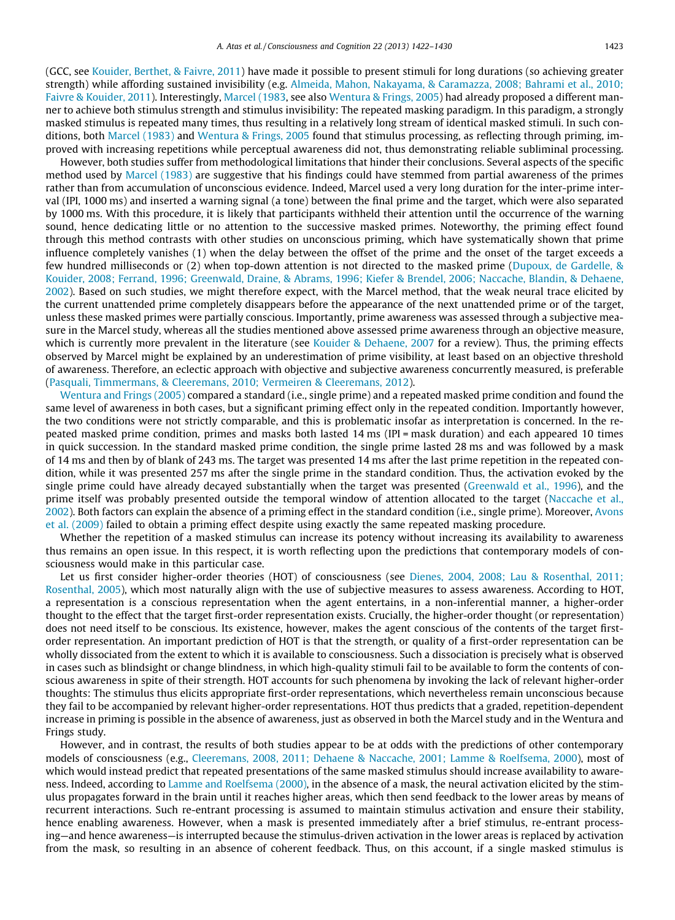(GCC, see [Kouider, Berthet, & Faivre, 2011](#page-8-0)) have made it possible to present stimuli for long durations (so achieving greater strength) while affording sustained invisibility (e.g. [Almeida, Mahon, Nakayama, & Caramazza, 2008; Bahrami et al., 2010;](#page-7-0) [Faivre & Kouider, 2011\)](#page-7-0). Interestingly, [Marcel \(1983,](#page-8-0) see also [Wentura & Frings, 2005](#page-8-0)) had already proposed a different manner to achieve both stimulus strength and stimulus invisibility: The repeated masking paradigm. In this paradigm, a strongly masked stimulus is repeated many times, thus resulting in a relatively long stream of identical masked stimuli. In such conditions, both [Marcel \(1983\)](#page-8-0) and [Wentura & Frings, 2005](#page-8-0) found that stimulus processing, as reflecting through priming, improved with increasing repetitions while perceptual awareness did not, thus demonstrating reliable subliminal processing.

However, both studies suffer from methodological limitations that hinder their conclusions. Several aspects of the specific method used by [Marcel \(1983\)](#page-8-0) are suggestive that his findings could have stemmed from partial awareness of the primes rather than from accumulation of unconscious evidence. Indeed, Marcel used a very long duration for the inter-prime interval (IPI, 1000 ms) and inserted a warning signal (a tone) between the final prime and the target, which were also separated by 1000 ms. With this procedure, it is likely that participants withheld their attention until the occurrence of the warning sound, hence dedicating little or no attention to the successive masked primes. Noteworthy, the priming effect found through this method contrasts with other studies on unconscious priming, which have systematically shown that prime influence completely vanishes (1) when the delay between the offset of the prime and the onset of the target exceeds a few hundred milliseconds or (2) when top-down attention is not directed to the masked prime ([Dupoux, de Gardelle, &](#page-8-0) [Kouider, 2008; Ferrand, 1996; Greenwald, Draine, & Abrams, 1996; Kiefer & Brendel, 2006; Naccache, Blandin, & Dehaene,](#page-8-0) [2002\)](#page-8-0). Based on such studies, we might therefore expect, with the Marcel method, that the weak neural trace elicited by the current unattended prime completely disappears before the appearance of the next unattended prime or of the target, unless these masked primes were partially conscious. Importantly, prime awareness was assessed through a subjective measure in the Marcel study, whereas all the studies mentioned above assessed prime awareness through an objective measure, which is currently more prevalent in the literature (see [Kouider & Dehaene, 2007](#page-8-0) for a review). Thus, the priming effects observed by Marcel might be explained by an underestimation of prime visibility, at least based on an objective threshold of awareness. Therefore, an eclectic approach with objective and subjective awareness concurrently measured, is preferable ([Pasquali, Timmermans, & Cleeremans, 2010; Vermeiren & Cleeremans, 2012](#page-8-0)).

[Wentura and Frings \(2005\)](#page-8-0) compared a standard (i.e., single prime) and a repeated masked prime condition and found the same level of awareness in both cases, but a significant priming effect only in the repeated condition. Importantly however, the two conditions were not strictly comparable, and this is problematic insofar as interpretation is concerned. In the repeated masked prime condition, primes and masks both lasted 14 ms (IPI = mask duration) and each appeared 10 times in quick succession. In the standard masked prime condition, the single prime lasted 28 ms and was followed by a mask of 14 ms and then by of blank of 243 ms. The target was presented 14 ms after the last prime repetition in the repeated condition, while it was presented 257 ms after the single prime in the standard condition. Thus, the activation evoked by the single prime could have already decayed substantially when the target was presented ([Greenwald et al., 1996](#page-8-0)), and the prime itself was probably presented outside the temporal window of attention allocated to the target ([Naccache et al.,](#page-8-0) [2002\)](#page-8-0). Both factors can explain the absence of a priming effect in the standard condition (i.e., single prime). Moreover, [Avons](#page-7-0) [et al. \(2009\)](#page-7-0) failed to obtain a priming effect despite using exactly the same repeated masking procedure.

Whether the repetition of a masked stimulus can increase its potency without increasing its availability to awareness thus remains an open issue. In this respect, it is worth reflecting upon the predictions that contemporary models of consciousness would make in this particular case.

Let us first consider higher-order theories (HOT) of consciousness (see [Dienes, 2004, 2008; Lau & Rosenthal, 2011;](#page-8-0) [Rosenthal, 2005\)](#page-8-0), which most naturally align with the use of subjective measures to assess awareness. According to HOT, a representation is a conscious representation when the agent entertains, in a non-inferential manner, a higher-order thought to the effect that the target first-order representation exists. Crucially, the higher-order thought (or representation) does not need itself to be conscious. Its existence, however, makes the agent conscious of the contents of the target firstorder representation. An important prediction of HOT is that the strength, or quality of a first-order representation can be wholly dissociated from the extent to which it is available to consciousness. Such a dissociation is precisely what is observed in cases such as blindsight or change blindness, in which high-quality stimuli fail to be available to form the contents of conscious awareness in spite of their strength. HOT accounts for such phenomena by invoking the lack of relevant higher-order thoughts: The stimulus thus elicits appropriate first-order representations, which nevertheless remain unconscious because they fail to be accompanied by relevant higher-order representations. HOT thus predicts that a graded, repetition-dependent increase in priming is possible in the absence of awareness, just as observed in both the Marcel study and in the Wentura and Frings study.

However, and in contrast, the results of both studies appear to be at odds with the predictions of other contemporary models of consciousness (e.g., [Cleeremans, 2008, 2011; Dehaene & Naccache, 2001; Lamme & Roelfsema, 2000\)](#page-7-0), most of which would instead predict that repeated presentations of the same masked stimulus should increase availability to awareness. Indeed, according to [Lamme and Roelfsema \(2000\)](#page-8-0), in the absence of a mask, the neural activation elicited by the stimulus propagates forward in the brain until it reaches higher areas, which then send feedback to the lower areas by means of recurrent interactions. Such re-entrant processing is assumed to maintain stimulus activation and ensure their stability, hence enabling awareness. However, when a mask is presented immediately after a brief stimulus, re-entrant processing—and hence awareness—is interrupted because the stimulus-driven activation in the lower areas is replaced by activation from the mask, so resulting in an absence of coherent feedback. Thus, on this account, if a single masked stimulus is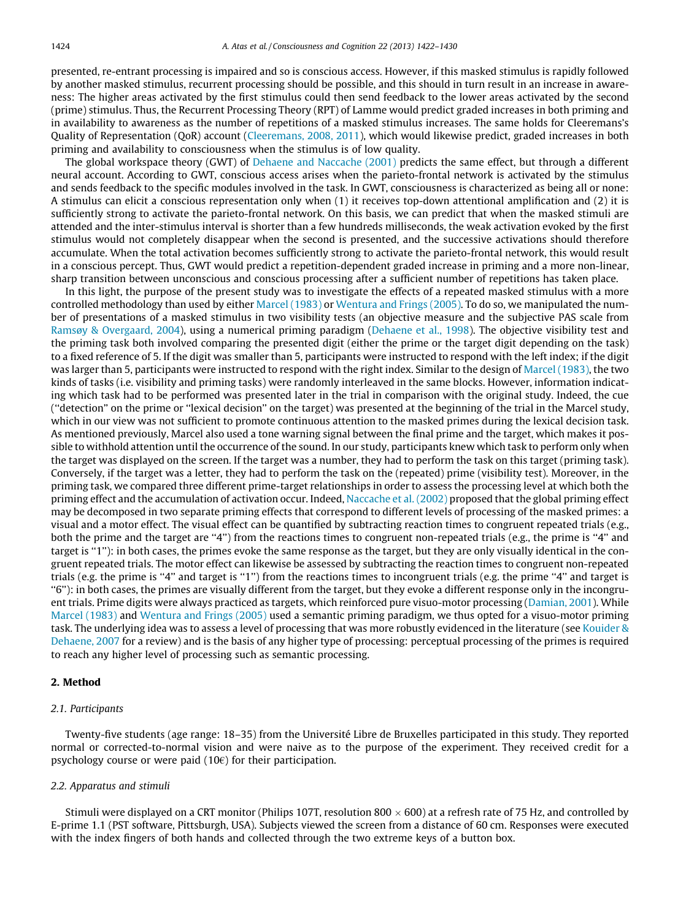presented, re-entrant processing is impaired and so is conscious access. However, if this masked stimulus is rapidly followed by another masked stimulus, recurrent processing should be possible, and this should in turn result in an increase in awareness: The higher areas activated by the first stimulus could then send feedback to the lower areas activated by the second (prime) stimulus. Thus, the Recurrent Processing Theory (RPT) of Lamme would predict graded increases in both priming and in availability to awareness as the number of repetitions of a masked stimulus increases. The same holds for Cleeremans's Quality of Representation (QoR) account ([Cleeremans, 2008, 2011](#page-7-0)), which would likewise predict, graded increases in both priming and availability to consciousness when the stimulus is of low quality.

The global workspace theory (GWT) of [Dehaene and Naccache \(2001\)](#page-8-0) predicts the same effect, but through a different neural account. According to GWT, conscious access arises when the parieto-frontal network is activated by the stimulus and sends feedback to the specific modules involved in the task. In GWT, consciousness is characterized as being all or none: A stimulus can elicit a conscious representation only when (1) it receives top-down attentional amplification and (2) it is sufficiently strong to activate the parieto-frontal network. On this basis, we can predict that when the masked stimuli are attended and the inter-stimulus interval is shorter than a few hundreds milliseconds, the weak activation evoked by the first stimulus would not completely disappear when the second is presented, and the successive activations should therefore accumulate. When the total activation becomes sufficiently strong to activate the parieto-frontal network, this would result in a conscious percept. Thus, GWT would predict a repetition-dependent graded increase in priming and a more non-linear, sharp transition between unconscious and conscious processing after a sufficient number of repetitions has taken place.

In this light, the purpose of the present study was to investigate the effects of a repeated masked stimulus with a more controlled methodology than used by either [Marcel \(1983\)](#page-8-0) or [Wentura and Frings \(2005\).](#page-8-0) To do so, we manipulated the number of presentations of a masked stimulus in two visibility tests (an objective measure and the subjective PAS scale from [Ramsøy & Overgaard, 2004](#page-8-0)), using a numerical priming paradigm ([Dehaene et al., 1998\)](#page-8-0). The objective visibility test and the priming task both involved comparing the presented digit (either the prime or the target digit depending on the task) to a fixed reference of 5. If the digit was smaller than 5, participants were instructed to respond with the left index; if the digit was larger than 5, participants were instructed to respond with the right index. Similar to the design of [Marcel \(1983\)](#page-8-0), the two kinds of tasks (i.e. visibility and priming tasks) were randomly interleaved in the same blocks. However, information indicating which task had to be performed was presented later in the trial in comparison with the original study. Indeed, the cue (''detection'' on the prime or ''lexical decision'' on the target) was presented at the beginning of the trial in the Marcel study, which in our view was not sufficient to promote continuous attention to the masked primes during the lexical decision task. As mentioned previously, Marcel also used a tone warning signal between the final prime and the target, which makes it possible to withhold attention until the occurrence of the sound. In our study, participants knew which task to perform only when the target was displayed on the screen. If the target was a number, they had to perform the task on this target (priming task). Conversely, if the target was a letter, they had to perform the task on the (repeated) prime (visibility test). Moreover, in the priming task, we compared three different prime-target relationships in order to assess the processing level at which both the priming effect and the accumulation of activation occur. Indeed, [Naccache et al. \(2002\)](#page-8-0) proposed that the global priming effect may be decomposed in two separate priming effects that correspond to different levels of processing of the masked primes: a visual and a motor effect. The visual effect can be quantified by subtracting reaction times to congruent repeated trials (e.g., both the prime and the target are "4") from the reactions times to congruent non-repeated trials (e.g., the prime is "4" and target is ''1''): in both cases, the primes evoke the same response as the target, but they are only visually identical in the congruent repeated trials. The motor effect can likewise be assessed by subtracting the reaction times to congruent non-repeated trials (e.g. the prime is "4" and target is "1") from the reactions times to incongruent trials (e.g. the prime "4" and target is ''6''): in both cases, the primes are visually different from the target, but they evoke a different response only in the incongruent trials. Prime digits were always practiced as targets, which reinforced pure visuo-motor processing [\(Damian, 2001](#page-7-0)). While [Marcel \(1983\)](#page-8-0) and [Wentura and Frings \(2005\)](#page-8-0) used a semantic priming paradigm, we thus opted for a visuo-motor priming task. The underlying idea was to assess a level of processing that was more robustly evidenced in the literature (see [Kouider &](#page-8-0) [Dehaene, 2007](#page-8-0) for a review) and is the basis of any higher type of processing: perceptual processing of the primes is required to reach any higher level of processing such as semantic processing.

# 2. Method

# 2.1. Participants

Twenty-five students (age range: 18–35) from the Université Libre de Bruxelles participated in this study. They reported normal or corrected-to-normal vision and were naive as to the purpose of the experiment. They received credit for a psychology course or were paid  $(10\varepsilon)$  for their participation.

#### 2.2. Apparatus and stimuli

Stimuli were displayed on a CRT monitor (Philips 107T, resolution 800  $\times$  600) at a refresh rate of 75 Hz, and controlled by E-prime 1.1 (PST software, Pittsburgh, USA). Subjects viewed the screen from a distance of 60 cm. Responses were executed with the index fingers of both hands and collected through the two extreme keys of a button box.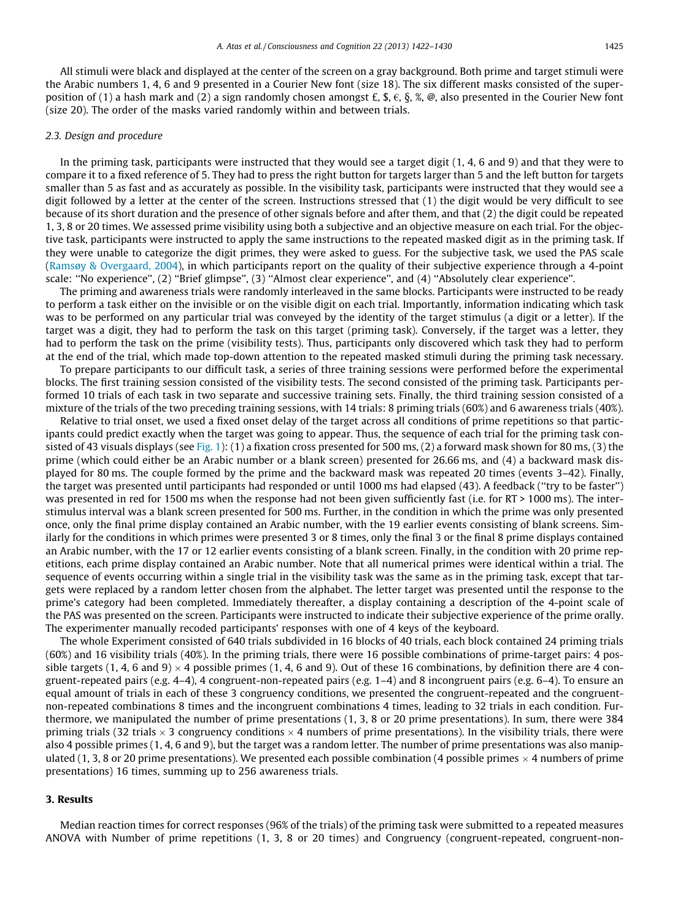All stimuli were black and displayed at the center of the screen on a gray background. Both prime and target stimuli were the Arabic numbers 1, 4, 6 and 9 presented in a Courier New font (size 18). The six different masks consisted of the superposition of (1) a hash mark and (2) a sign randomly chosen amongst  $\epsilon$ ,  $\epsilon$ ,  $\epsilon$ ,  $\epsilon$ ,  $\epsilon$ ,  $\epsilon$ ,  $\epsilon$ ,  $\epsilon$ ,  $\epsilon$ ,  $\epsilon$ ,  $\epsilon$ ,  $\epsilon$ ,  $\epsilon$ ,  $\epsilon$ ,  $\epsilon$ ,  $\epsilon$ ,  $\epsilon$ ,  $\epsilon$ ,  $\epsilon$ ,  $\epsilon$ ,  $\epsilon$ ,  $\epsilon$ ,  $\epsilon$ ,  $\epsilon$ ,  $\epsilon$ ,  $\epsilon$ (size 20). The order of the masks varied randomly within and between trials.

# 2.3. Design and procedure

In the priming task, participants were instructed that they would see a target digit (1, 4, 6 and 9) and that they were to compare it to a fixed reference of 5. They had to press the right button for targets larger than 5 and the left button for targets smaller than 5 as fast and as accurately as possible. In the visibility task, participants were instructed that they would see a digit followed by a letter at the center of the screen. Instructions stressed that (1) the digit would be very difficult to see because of its short duration and the presence of other signals before and after them, and that (2) the digit could be repeated 1, 3, 8 or 20 times. We assessed prime visibility using both a subjective and an objective measure on each trial. For the objective task, participants were instructed to apply the same instructions to the repeated masked digit as in the priming task. If they were unable to categorize the digit primes, they were asked to guess. For the subjective task, we used the PAS scale ([Ramsøy & Overgaard, 2004\)](#page-8-0), in which participants report on the quality of their subjective experience through a 4-point scale: ''No experience'', (2) ''Brief glimpse'', (3) ''Almost clear experience'', and (4) ''Absolutely clear experience''.

The priming and awareness trials were randomly interleaved in the same blocks. Participants were instructed to be ready to perform a task either on the invisible or on the visible digit on each trial. Importantly, information indicating which task was to be performed on any particular trial was conveyed by the identity of the target stimulus (a digit or a letter). If the target was a digit, they had to perform the task on this target (priming task). Conversely, if the target was a letter, they had to perform the task on the prime (visibility tests). Thus, participants only discovered which task they had to perform at the end of the trial, which made top-down attention to the repeated masked stimuli during the priming task necessary.

To prepare participants to our difficult task, a series of three training sessions were performed before the experimental blocks. The first training session consisted of the visibility tests. The second consisted of the priming task. Participants performed 10 trials of each task in two separate and successive training sets. Finally, the third training session consisted of a mixture of the trials of the two preceding training sessions, with 14 trials: 8 priming trials (60%) and 6 awareness trials (40%).

Relative to trial onset, we used a fixed onset delay of the target across all conditions of prime repetitions so that participants could predict exactly when the target was going to appear. Thus, the sequence of each trial for the priming task con-sisted of 43 visuals displays (see [Fig. 1](#page-4-0)): (1) a fixation cross presented for 500 ms, (2) a forward mask shown for 80 ms, (3) the prime (which could either be an Arabic number or a blank screen) presented for 26.66 ms, and (4) a backward mask displayed for 80 ms. The couple formed by the prime and the backward mask was repeated 20 times (events 3–42). Finally, the target was presented until participants had responded or until 1000 ms had elapsed (43). A feedback (''try to be faster'') was presented in red for 1500 ms when the response had not been given sufficiently fast (i.e. for RT > 1000 ms). The interstimulus interval was a blank screen presented for 500 ms. Further, in the condition in which the prime was only presented once, only the final prime display contained an Arabic number, with the 19 earlier events consisting of blank screens. Similarly for the conditions in which primes were presented 3 or 8 times, only the final 3 or the final 8 prime displays contained an Arabic number, with the 17 or 12 earlier events consisting of a blank screen. Finally, in the condition with 20 prime repetitions, each prime display contained an Arabic number. Note that all numerical primes were identical within a trial. The sequence of events occurring within a single trial in the visibility task was the same as in the priming task, except that targets were replaced by a random letter chosen from the alphabet. The letter target was presented until the response to the prime's category had been completed. Immediately thereafter, a display containing a description of the 4-point scale of the PAS was presented on the screen. Participants were instructed to indicate their subjective experience of the prime orally. The experimenter manually recoded participants' responses with one of 4 keys of the keyboard.

The whole Experiment consisted of 640 trials subdivided in 16 blocks of 40 trials, each block contained 24 priming trials (60%) and 16 visibility trials (40%). In the priming trials, there were 16 possible combinations of prime-target pairs: 4 possible targets (1, 4, 6 and 9)  $\times$  4 possible primes (1, 4, 6 and 9). Out of these 16 combinations, by definition there are 4 congruent-repeated pairs (e.g. 4–4), 4 congruent-non-repeated pairs (e.g. 1–4) and 8 incongruent pairs (e.g. 6–4). To ensure an equal amount of trials in each of these 3 congruency conditions, we presented the congruent-repeated and the congruentnon-repeated combinations 8 times and the incongruent combinations 4 times, leading to 32 trials in each condition. Furthermore, we manipulated the number of prime presentations (1, 3, 8 or 20 prime presentations). In sum, there were 384 priming trials (32 trials  $\times$  3 congruency conditions  $\times$  4 numbers of prime presentations). In the visibility trials, there were also 4 possible primes (1, 4, 6 and 9), but the target was a random letter. The number of prime presentations was also manipulated (1, 3, 8 or 20 prime presentations). We presented each possible combination (4 possible primes  $\times$  4 numbers of prime presentations) 16 times, summing up to 256 awareness trials.

## 3. Results

Median reaction times for correct responses (96% of the trials) of the priming task were submitted to a repeated measures ANOVA with Number of prime repetitions (1, 3, 8 or 20 times) and Congruency (congruent-repeated, congruent-non-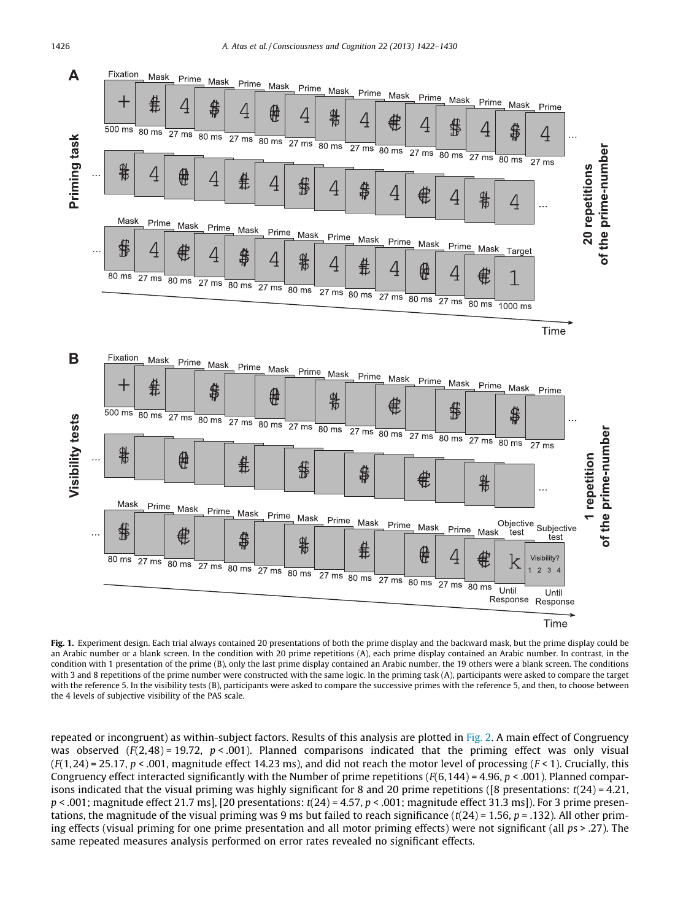<span id="page-4-0"></span>

Fig. 1. Experiment design. Each trial always contained 20 presentations of both the prime display and the backward mask, but the prime display could be an Arabic number or a blank screen. In the condition with 20 prime repetitions (A), each prime display contained an Arabic number. In contrast, in the condition with 1 presentation of the prime (B), only the last prime display contained an Arabic number, the 19 others were a blank screen. The conditions with 3 and 8 repetitions of the prime number were constructed with the same logic. In the priming task (A), participants were asked to compare the target with the reference 5. In the visibility tests (B), participants were asked to compare the successive primes with the reference 5, and then, to choose between the 4 levels of subjective visibility of the PAS scale.

repeated or incongruent) as within-subject factors. Results of this analysis are plotted in [Fig. 2](#page-5-0). A main effect of Congruency was observed  $(F(2,48) = 19.72, p < .001)$ . Planned comparisons indicated that the priming effect was only visual  $(F(1,24) = 25.17, p < .001$ , magnitude effect 14.23 ms), and did not reach the motor level of processing  $(F < 1)$ . Crucially, this Congruency effect interacted significantly with the Number of prime repetitions ( $F(6,144) = 4.96$ ,  $p < .001$ ). Planned comparisons indicated that the visual priming was highly significant for 8 and 20 prime repetitions ([8 presentations: t(24) = 4.21,  $p < .001$ ; magnitude effect 21.7 ms], [20 presentations:  $t(24) = 4.57$ ,  $p < .001$ ; magnitude effect 31.3 ms]). For 3 prime presentations, the magnitude of the visual priming was 9 ms but failed to reach significance  $(t(24) = 1.56, p = .132)$ . All other priming effects (visual priming for one prime presentation and all motor priming effects) were not significant (all  $ps > .27$ ). The same repeated measures analysis performed on error rates revealed no significant effects.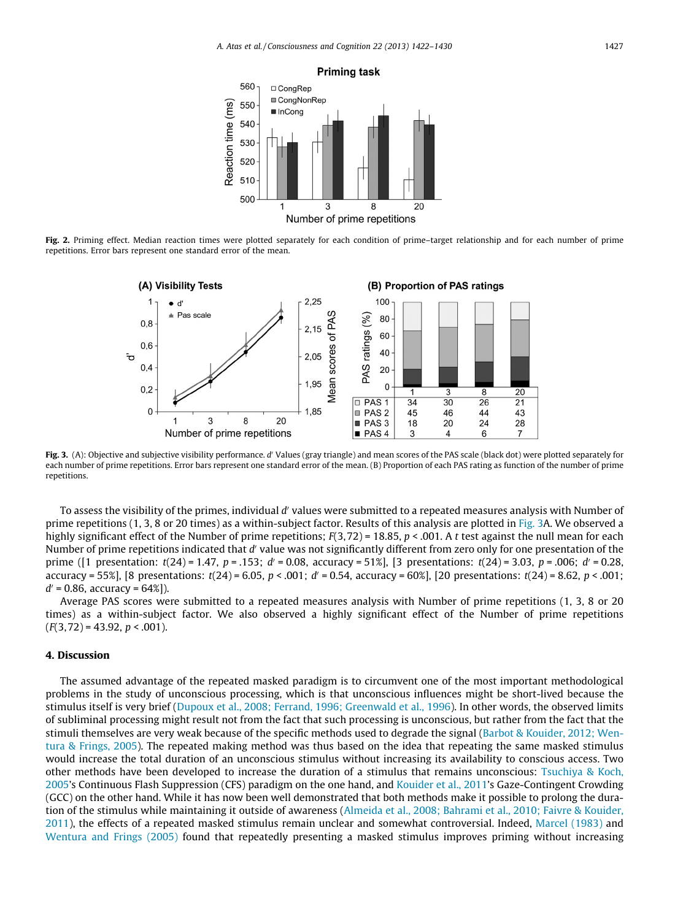<span id="page-5-0"></span>

Fig. 2. Priming effect. Median reaction times were plotted separately for each condition of prime-target relationship and for each number of prime repetitions. Error bars represent one standard error of the mean.



Fig. 3. (A): Objective and subjective visibility performance. d'Values (gray triangle) and mean scores of the PAS scale (black dot) were plotted separately for each number of prime repetitions. Error bars represent one standard error of the mean. (B) Proportion of each PAS rating as function of the number of prime repetitions.

To assess the visibility of the primes, individual d' values were submitted to a repeated measures analysis with Number of prime repetitions (1, 3, 8 or 20 times) as a within-subject factor. Results of this analysis are plotted in Fig. 3A. We observed a highly significant effect of the Number of prime repetitions;  $F(3,72) = 18.85$ ,  $p < .001$ . A t test against the null mean for each Number of prime repetitions indicated that  $d'$  value was not significantly different from zero only for one presentation of the prime ([1 presentation:  $t(24) = 1.47$ ,  $p = .153$ ;  $d' = 0.08$ , accuracy = 51%], [3 presentations:  $t(24) = 3.03$ ,  $p = .006$ ;  $d' = 0.28$ , accuracy = 55%], [8 presentations:  $t(24)$  = 6.05, p < .001;  $d'$  = 0.54, accuracy = 60%], [20 presentations:  $t(24)$  = 8.62, p < .001;  $d' = 0.86$ , accuracy = 64%]).

Average PAS scores were submitted to a repeated measures analysis with Number of prime repetitions (1, 3, 8 or 20 times) as a within-subject factor. We also observed a highly significant effect of the Number of prime repetitions  $(F(3, 72) = 43.92, p < .001)$ .

# 4. Discussion

The assumed advantage of the repeated masked paradigm is to circumvent one of the most important methodological problems in the study of unconscious processing, which is that unconscious influences might be short-lived because the stimulus itself is very brief ([Dupoux et al., 2008; Ferrand, 1996; Greenwald et al., 1996\)](#page-8-0). In other words, the observed limits of subliminal processing might result not from the fact that such processing is unconscious, but rather from the fact that the stimuli themselves are very weak because of the specific methods used to degrade the signal ([Barbot & Kouider, 2012; Wen](#page-7-0)[tura & Frings, 2005\)](#page-7-0). The repeated making method was thus based on the idea that repeating the same masked stimulus would increase the total duration of an unconscious stimulus without increasing its availability to conscious access. Two other methods have been developed to increase the duration of a stimulus that remains unconscious: [Tsuchiya & Koch,](#page-8-0) [2005'](#page-8-0)s Continuous Flash Suppression (CFS) paradigm on the one hand, and [Kouider et al., 2011](#page-8-0)'s Gaze-Contingent Crowding (GCC) on the other hand. While it has now been well demonstrated that both methods make it possible to prolong the duration of the stimulus while maintaining it outside of awareness ([Almeida et al., 2008; Bahrami et al., 2010; Faivre & Kouider,](#page-7-0) [2011\)](#page-7-0), the effects of a repeated masked stimulus remain unclear and somewhat controversial. Indeed, [Marcel \(1983\)](#page-8-0) and [Wentura and Frings \(2005\)](#page-8-0) found that repeatedly presenting a masked stimulus improves priming without increasing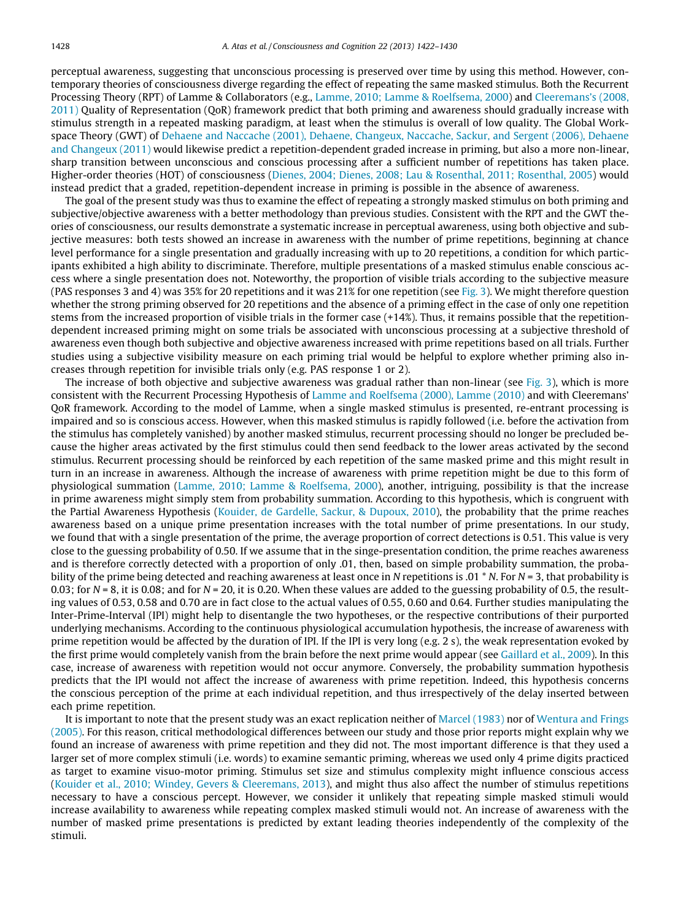perceptual awareness, suggesting that unconscious processing is preserved over time by using this method. However, contemporary theories of consciousness diverge regarding the effect of repeating the same masked stimulus. Both the Recurrent Processing Theory (RPT) of Lamme & Collaborators (e.g., [Lamme, 2010; Lamme & Roelfsema, 2000](#page-8-0)) and [Cleeremans's \(2008,](#page-7-0) [2011\)](#page-7-0) Quality of Representation (QoR) framework predict that both priming and awareness should gradually increase with stimulus strength in a repeated masking paradigm, at least when the stimulus is overall of low quality. The Global Work-space Theory (GWT) of [Dehaene and Naccache \(2001\), Dehaene, Changeux, Naccache, Sackur, and Sergent \(2006\), Dehaene](#page-8-0) [and Changeux \(2011\)](#page-8-0) would likewise predict a repetition-dependent graded increase in priming, but also a more non-linear, sharp transition between unconscious and conscious processing after a sufficient number of repetitions has taken place. Higher-order theories (HOT) of consciousness ([Dienes, 2004; Dienes, 2008; Lau & Rosenthal, 2011; Rosenthal, 2005](#page-8-0)) would instead predict that a graded, repetition-dependent increase in priming is possible in the absence of awareness.

The goal of the present study was thus to examine the effect of repeating a strongly masked stimulus on both priming and subjective/objective awareness with a better methodology than previous studies. Consistent with the RPT and the GWT theories of consciousness, our results demonstrate a systematic increase in perceptual awareness, using both objective and subjective measures: both tests showed an increase in awareness with the number of prime repetitions, beginning at chance level performance for a single presentation and gradually increasing with up to 20 repetitions, a condition for which participants exhibited a high ability to discriminate. Therefore, multiple presentations of a masked stimulus enable conscious access where a single presentation does not. Noteworthy, the proportion of visible trials according to the subjective measure (PAS responses 3 and 4) was 35% for 20 repetitions and it was 21% for one repetition (see [Fig. 3](#page-5-0)). We might therefore question whether the strong priming observed for 20 repetitions and the absence of a priming effect in the case of only one repetition stems from the increased proportion of visible trials in the former case (+14%). Thus, it remains possible that the repetitiondependent increased priming might on some trials be associated with unconscious processing at a subjective threshold of awareness even though both subjective and objective awareness increased with prime repetitions based on all trials. Further studies using a subjective visibility measure on each priming trial would be helpful to explore whether priming also increases through repetition for invisible trials only (e.g. PAS response 1 or 2).

The increase of both objective and subjective awareness was gradual rather than non-linear (see [Fig. 3](#page-5-0)), which is more consistent with the Recurrent Processing Hypothesis of [Lamme and Roelfsema \(2000\), Lamme \(2010\)](#page-8-0) and with Cleeremans' QoR framework. According to the model of Lamme, when a single masked stimulus is presented, re-entrant processing is impaired and so is conscious access. However, when this masked stimulus is rapidly followed (i.e. before the activation from the stimulus has completely vanished) by another masked stimulus, recurrent processing should no longer be precluded because the higher areas activated by the first stimulus could then send feedback to the lower areas activated by the second stimulus. Recurrent processing should be reinforced by each repetition of the same masked prime and this might result in turn in an increase in awareness. Although the increase of awareness with prime repetition might be due to this form of physiological summation ([Lamme, 2010; Lamme & Roelfsema, 2000\)](#page-8-0), another, intriguing, possibility is that the increase in prime awareness might simply stem from probability summation. According to this hypothesis, which is congruent with the Partial Awareness Hypothesis ([Kouider, de Gardelle, Sackur, & Dupoux, 2010\)](#page-8-0), the probability that the prime reaches awareness based on a unique prime presentation increases with the total number of prime presentations. In our study, we found that with a single presentation of the prime, the average proportion of correct detections is 0.51. This value is very close to the guessing probability of 0.50. If we assume that in the singe-presentation condition, the prime reaches awareness and is therefore correctly detected with a proportion of only .01, then, based on simple probability summation, the probability of the prime being detected and reaching awareness at least once in N repetitions is  $.01 * N$ . For  $N = 3$ , that probability is 0.03; for  $N = 8$ , it is 0.08; and for  $N = 20$ , it is 0.20. When these values are added to the guessing probability of 0.5, the resulting values of 0.53, 0.58 and 0.70 are in fact close to the actual values of 0.55, 0.60 and 0.64. Further studies manipulating the Inter-Prime-Interval (IPI) might help to disentangle the two hypotheses, or the respective contributions of their purported underlying mechanisms. According to the continuous physiological accumulation hypothesis, the increase of awareness with prime repetition would be affected by the duration of IPI. If the IPI is very long (e.g. 2 s), the weak representation evoked by the first prime would completely vanish from the brain before the next prime would appear (see [Gaillard et al., 2009\)](#page-8-0). In this case, increase of awareness with repetition would not occur anymore. Conversely, the probability summation hypothesis predicts that the IPI would not affect the increase of awareness with prime repetition. Indeed, this hypothesis concerns the conscious perception of the prime at each individual repetition, and thus irrespectively of the delay inserted between each prime repetition.

It is important to note that the present study was an exact replication neither of [Marcel \(1983\)](#page-8-0) nor of [Wentura and Frings](#page-8-0) [\(2005\)](#page-8-0). For this reason, critical methodological differences between our study and those prior reports might explain why we found an increase of awareness with prime repetition and they did not. The most important difference is that they used a larger set of more complex stimuli (i.e. words) to examine semantic priming, whereas we used only 4 prime digits practiced as target to examine visuo-motor priming. Stimulus set size and stimulus complexity might influence conscious access [\(Kouider et al., 2010; Windey, Gevers & Cleeremans, 2013](#page-8-0)), and might thus also affect the number of stimulus repetitions necessary to have a conscious percept. However, we consider it unlikely that repeating simple masked stimuli would increase availability to awareness while repeating complex masked stimuli would not. An increase of awareness with the number of masked prime presentations is predicted by extant leading theories independently of the complexity of the stimuli.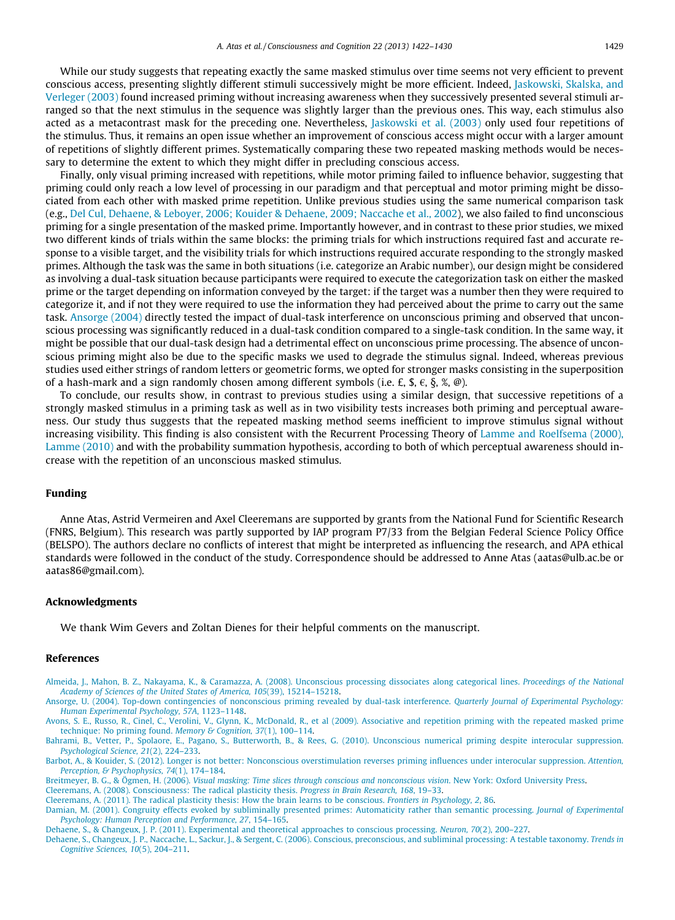<span id="page-7-0"></span>While our study suggests that repeating exactly the same masked stimulus over time seems not very efficient to prevent conscious access, presenting slightly different stimuli successively might be more efficient. Indeed, [Jaskowski, Skalska, and](#page-8-0) [Verleger \(2003\)](#page-8-0) found increased priming without increasing awareness when they successively presented several stimuli arranged so that the next stimulus in the sequence was slightly larger than the previous ones. This way, each stimulus also acted as a metacontrast mask for the preceding one. Nevertheless, [Jaskowski et al. \(2003\)](#page-8-0) only used four repetitions of the stimulus. Thus, it remains an open issue whether an improvement of conscious access might occur with a larger amount of repetitions of slightly different primes. Systematically comparing these two repeated masking methods would be necessary to determine the extent to which they might differ in precluding conscious access.

Finally, only visual priming increased with repetitions, while motor priming failed to influence behavior, suggesting that priming could only reach a low level of processing in our paradigm and that perceptual and motor priming might be dissociated from each other with masked prime repetition. Unlike previous studies using the same numerical comparison task (e.g., [Del Cul, Dehaene, & Leboyer, 2006; Kouider & Dehaene, 2009; Naccache et al., 2002](#page-8-0)), we also failed to find unconscious priming for a single presentation of the masked prime. Importantly however, and in contrast to these prior studies, we mixed two different kinds of trials within the same blocks: the priming trials for which instructions required fast and accurate response to a visible target, and the visibility trials for which instructions required accurate responding to the strongly masked primes. Although the task was the same in both situations (i.e. categorize an Arabic number), our design might be considered as involving a dual-task situation because participants were required to execute the categorization task on either the masked prime or the target depending on information conveyed by the target: if the target was a number then they were required to categorize it, and if not they were required to use the information they had perceived about the prime to carry out the same task. Ansorge (2004) directly tested the impact of dual-task interference on unconscious priming and observed that unconscious processing was significantly reduced in a dual-task condition compared to a single-task condition. In the same way, it might be possible that our dual-task design had a detrimental effect on unconscious prime processing. The absence of unconscious priming might also be due to the specific masks we used to degrade the stimulus signal. Indeed, whereas previous studies used either strings of random letters or geometric forms, we opted for stronger masks consisting in the superposition of a hash-mark and a sign randomly chosen among different symbols (i.e.  $E$ ,  $\hat{\bf s}$ ,  $\hat{\bf \epsilon}$ ,  $\hat{\bf \delta}$ ,  $\hat{\bf \epsilon}$ ,  $\hat{\bf \epsilon}$ ,  $\hat{\bf \epsilon}$ ,  $\hat{\bf \epsilon}$ ,  $\hat{\bf \epsilon}$ ,  $\hat{\bf \epsilon}$ ,  $\hat{\bf \epsilon}$ ,  $\hat{\bf \epsilon}$ ,  $\hat{\bf \epsilon}$ ,  $\hat{\bf \epsilon}$ ,  $\$ 

To conclude, our results show, in contrast to previous studies using a similar design, that successive repetitions of a strongly masked stimulus in a priming task as well as in two visibility tests increases both priming and perceptual awareness. Our study thus suggests that the repeated masking method seems inefficient to improve stimulus signal without increasing visibility. This finding is also consistent with the Recurrent Processing Theory of [Lamme and Roelfsema \(2000\),](#page-8-0) [Lamme \(2010\)](#page-8-0) and with the probability summation hypothesis, according to both of which perceptual awareness should increase with the repetition of an unconscious masked stimulus.

## Funding

Anne Atas, Astrid Vermeiren and Axel Cleeremans are supported by grants from the National Fund for Scientific Research (FNRS, Belgium). This research was partly supported by IAP program P7/33 from the Belgian Federal Science Policy Office (BELSPO). The authors declare no conflicts of interest that might be interpreted as influencing the research, and APA ethical standards were followed in the conduct of the study. Correspondence should be addressed to Anne Atas (aatas@ulb.ac.be or aatas86@gmail.com).

# Acknowledgments

We thank Wim Gevers and Zoltan Dienes for their helpful comments on the manuscript.

#### References

[Almeida, J., Mahon, B. Z., Nakayama, K., & Caramazza, A. \(2008\). Unconscious processing dissociates along categorical lines.](http://refhub.elsevier.com/S1053-8100(13)00138-4/h0005) Proceedings of the National [Academy of Sciences of the United States of America, 105](http://refhub.elsevier.com/S1053-8100(13)00138-4/h0005)(39), 15214–15218.

[Ansorge, U. \(2004\). Top-down contingencies of nonconscious priming revealed by dual-task interference.](http://refhub.elsevier.com/S1053-8100(13)00138-4/h1005) Quarterly Journal of Experimental Psychology: [Human Experimental Psychology, 57A](http://refhub.elsevier.com/S1053-8100(13)00138-4/h1005), 1123–1148.

[Avons, S. E., Russo, R., Cinel, C., Verolini, V., Glynn, K., McDonald, R., et al \(2009\). Associative and repetition priming with the repeated masked prime](http://refhub.elsevier.com/S1053-8100(13)00138-4/h0015) [technique: No priming found.](http://refhub.elsevier.com/S1053-8100(13)00138-4/h0015) Memory & Cognition, 37(1), 100-114.

[Bahrami, B., Vetter, P., Spolaore, E., Pagano, S., Butterworth, B., & Rees, G. \(2010\). Unconscious numerical priming despite interocular suppression.](http://refhub.elsevier.com/S1053-8100(13)00138-4/h0020) [Psychological Science, 21](http://refhub.elsevier.com/S1053-8100(13)00138-4/h0020)(2), 224–233.

[Barbot, A., & Kouider, S. \(2012\). Longer is not better: Nonconscious overstimulation reverses priming influences under interocular suppression.](http://refhub.elsevier.com/S1053-8100(13)00138-4/h0025) Attention, [Perception, & Psychophysics, 74](http://refhub.elsevier.com/S1053-8100(13)00138-4/h0025)(1), 174–184.

Breitmeyer, B. G., & Ögmen, H. (2006). [Visual masking: Time slices through conscious and nonconscious vision](http://refhub.elsevier.com/S1053-8100(13)00138-4/h0030). New York: Oxford University Press.

[Cleeremans, A. \(2008\). Consciousness: The radical plasticity thesis.](http://refhub.elsevier.com/S1053-8100(13)00138-4/h0035) Progress in Brain Research, 168, 19–33.

[Cleeremans, A. \(2011\). The radical plasticity thesis: How the brain learns to be conscious.](http://refhub.elsevier.com/S1053-8100(13)00138-4/h0040) Frontiers in Psychology, 2, 86.

[Damian, M. \(2001\). Congruity effects evoked by subliminally presented primes: Automaticity rather than semantic processing.](http://refhub.elsevier.com/S1053-8100(13)00138-4/h0045) Journal of Experimental [Psychology: Human Perception and Performance, 27](http://refhub.elsevier.com/S1053-8100(13)00138-4/h0045), 154–165.

[Dehaene, S., & Changeux, J. P. \(2011\). Experimental and theoretical approaches to conscious processing.](http://refhub.elsevier.com/S1053-8100(13)00138-4/h0050) Neuron, 70(2), 200–227.

[Dehaene, S., Changeux, J. P., Naccache, L., Sackur, J., & Sergent, C. \(2006\). Conscious, preconscious, and subliminal processing: A testable taxonomy.](http://refhub.elsevier.com/S1053-8100(13)00138-4/h0055) Trends in [Cognitive Sciences, 10](http://refhub.elsevier.com/S1053-8100(13)00138-4/h0055)(5), 204–211.